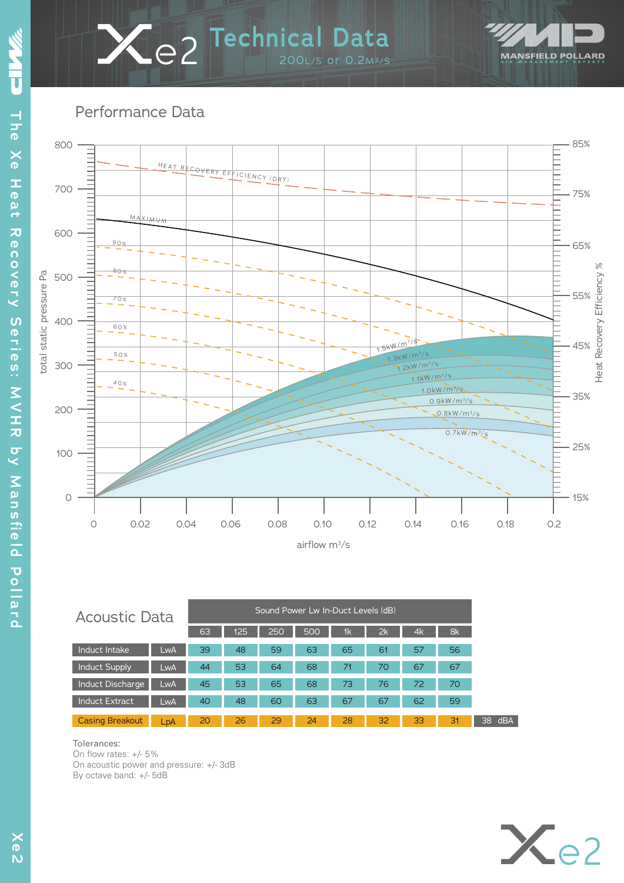# 200L/S or 0.2M³/S **2 Technical Data**



Performance Data



| <b>Acoustic Data</b>   |     |    |     | Sound Power Lw In-Duct Levels (dB) |     |    |    |    |    |
|------------------------|-----|----|-----|------------------------------------|-----|----|----|----|----|
|                        |     | 63 | 125 | 250                                | 500 | 1k | 2k | 4k | 8k |
| Induct Intake          | LwA | 39 | 48  | 59                                 | 63  | 65 | 61 | 57 | 56 |
| <b>Induct Supply</b>   | LwA | 44 | 53  | 64                                 | 68  | 71 | 70 | 67 | 67 |
| Induct Discharge       | LwA | 45 | 53  | 65                                 | 68  | 73 | 76 | 72 | 70 |
| <b>Induct Extract</b>  | LwA | 40 | 48  | 60                                 | 63  | 67 | 67 | 62 | 59 |
| <b>Casing Breakout</b> | LpA | 20 | 26  | 29                                 | 24  | 28 | 32 | 33 | 3' |

#### Tolerances:

On flow rates: +/- 5% On acoustic power and pressure: +/- 3dB By octave band: +/- 5dB